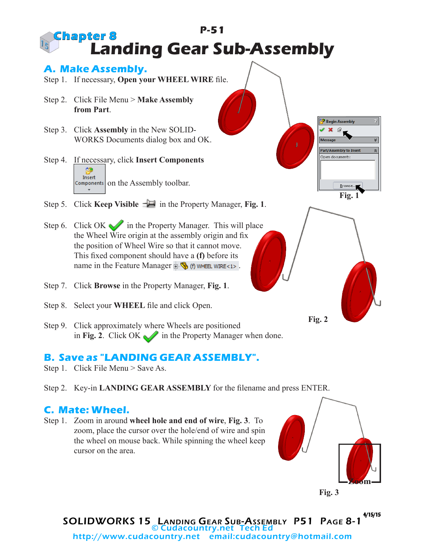## **P-51 Landing Gear Sub-Assembly Chapter 8**

## **A. Make Assembly.**

- Step 1. If necessary, **Open your WHEEL WIRE** file.
- Step 2. Click File Menu > **Make Assembly from Part**.
- Step 3. Click **Assembly** in the New SOLID-WORKS Documents dialog box and OK.
- Step 4. If necessary, click **Insert Components SS** Insert  $Components$  on the Assembly toolbar.
- Step 5. Click **Keep Visible**  $-\Box$  in the Property Manager, **Fig. 1**.
- Step 6. Click OK in the Property Manager. This will place the Wheel Wire origin at the assembly origin and fix the position of Wheel Wire so that it cannot move. This fixed component should have a **(f)** before its name in the Feature Manager  $\frac{1}{2}$  (f) wheel wire <1>.
- Step 7. Click **Browse** in the Property Manager, **Fig. 1**.
- Step 8. Select your **WHEEL** file and click Open.
- Step 9. Click approximately where Wheels are positioned in Fig. 2. Click OK in the Property Manager when done.

## **B. Save as "LANDING GEAR ASSEMBLY".**

- Step 1. Click File Menu > Save As.
- Step 2. Key-in **LANDING GEAR ASSEMBLY** for the filename and press ENTER.

## **C. Mate: Wheel.**

Step 1. Zoom in around **wheel hole and end of wire**, **Fig. 3**. To zoom, place the cursor over the hole/end of wire and spin the wheel on mouse back. While spinning the wheel keep cursor on the area.



**Fig. 2**

**Fig. 1**

 $\underline{\mathsf{B}}$ rowse...

**Begin Assembly** 

Part/Assembly to Insert Open documents

SOLIDWORKS 15 Landing Gear Sub-Assembly P51 Page 8-1 4/15/15 © Cudacountry.net Tech Ed http://www.cudacountry.net email:cudacountry@hotmail.com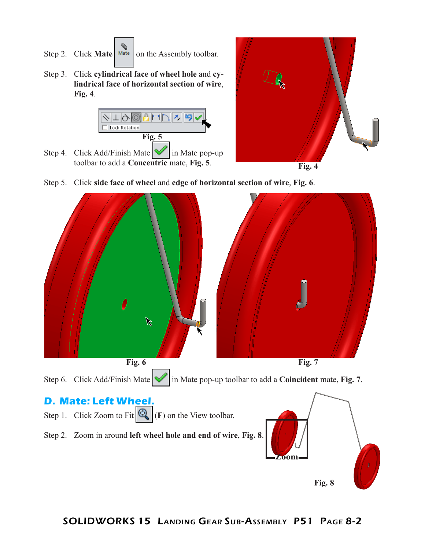- Step 2. Click **Mate**  $\vert$  Mate  $\vert$  on the Assembly toolbar.
- Step 3. Click **cylindrical face of wheel hole** and **cylindrical face of horizontal section of wire**, **Fig. 4**.







Step 5. Click **side face of wheel** and **edge of horizontal section of wire**, **Fig. 6**.